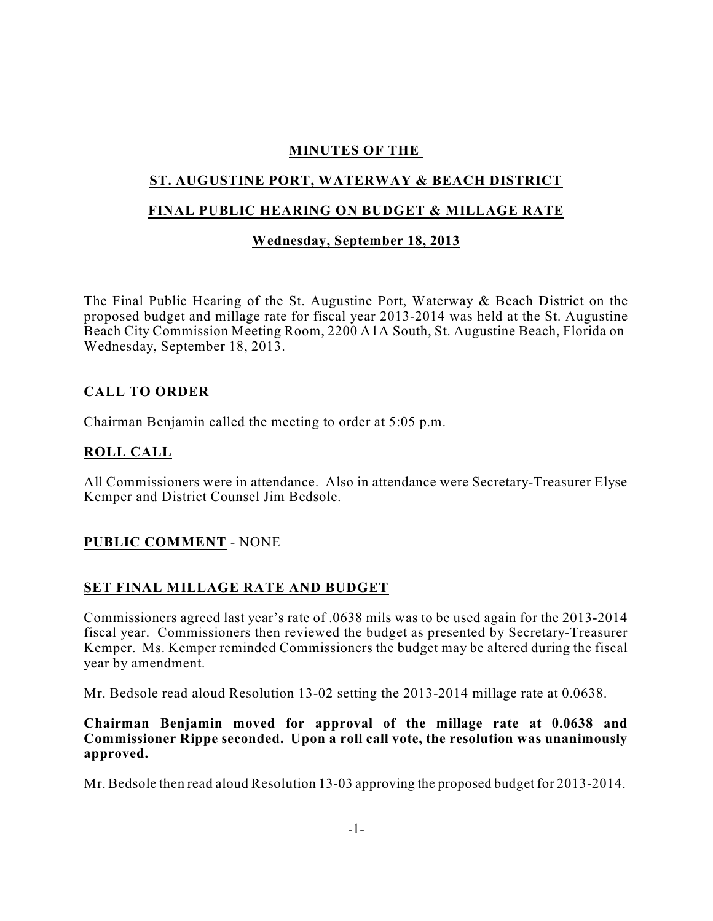## **MINUTES OF THE**

# **ST. AUGUSTINE PORT, WATERWAY & BEACH DISTRICT**

### **FINAL PUBLIC HEARING ON BUDGET & MILLAGE RATE**

## **Wednesday, September 18, 2013**

The Final Public Hearing of the St. Augustine Port, Waterway & Beach District on the proposed budget and millage rate for fiscal year 2013-2014 was held at the St. Augustine Beach City Commission Meeting Room, 2200 A1A South, St. Augustine Beach, Florida on Wednesday, September 18, 2013.

#### **CALL TO ORDER**

Chairman Benjamin called the meeting to order at 5:05 p.m.

## **ROLL CALL**

All Commissioners were in attendance. Also in attendance were Secretary-Treasurer Elyse Kemper and District Counsel Jim Bedsole.

#### **PUBLIC COMMENT** - NONE

#### **SET FINAL MILLAGE RATE AND BUDGET**

Commissioners agreed last year's rate of .0638 mils was to be used again for the 2013-2014 fiscal year. Commissioners then reviewed the budget as presented by Secretary-Treasurer Kemper. Ms. Kemper reminded Commissioners the budget may be altered during the fiscal year by amendment.

Mr. Bedsole read aloud Resolution 13-02 setting the 2013-2014 millage rate at 0.0638.

#### **Chairman Benjamin moved for approval of the millage rate at 0.0638 and Commissioner Rippe seconded. Upon a roll call vote, the resolution was unanimously approved.**

Mr. Bedsole then read aloud Resolution 13-03 approving the proposed budget for 2013-2014.